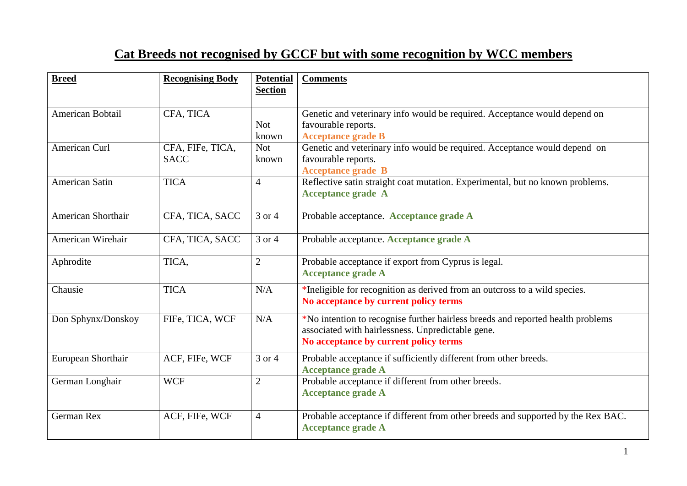## **Cat Breeds not recognised by GCCF but with some recognition by WCC members**

| <b>Breed</b>          | <b>Recognising Body</b> | <b>Potential</b><br><b>Section</b> | <b>Comments</b>                                                                  |
|-----------------------|-------------------------|------------------------------------|----------------------------------------------------------------------------------|
|                       |                         |                                    |                                                                                  |
| American Bobtail      | CFA, TICA               |                                    | Genetic and veterinary info would be required. Acceptance would depend on        |
|                       |                         | <b>Not</b>                         | favourable reports.                                                              |
|                       |                         | known                              | <b>Acceptance grade B</b>                                                        |
| American Curl         | CFA, FIFe, TICA,        | <b>Not</b>                         | Genetic and veterinary info would be required. Acceptance would depend on        |
|                       | <b>SACC</b>             | known                              | favourable reports.                                                              |
|                       |                         |                                    | <b>Acceptance grade B</b>                                                        |
| <b>American Satin</b> | <b>TICA</b>             | $\overline{4}$                     | Reflective satin straight coat mutation. Experimental, but no known problems.    |
|                       |                         |                                    | <b>Acceptance grade A</b>                                                        |
|                       |                         |                                    |                                                                                  |
| American Shorthair    | CFA, TICA, SACC         | 3 or 4                             | Probable acceptance. Acceptance grade A                                          |
|                       |                         |                                    |                                                                                  |
| American Wirehair     | CFA, TICA, SACC         | 3 or 4                             | Probable acceptance. Acceptance grade A                                          |
|                       |                         |                                    |                                                                                  |
| Aphrodite             | TICA,                   | $\overline{2}$                     | Probable acceptance if export from Cyprus is legal.                              |
|                       |                         |                                    | <b>Acceptance grade A</b>                                                        |
| Chausie               | <b>TICA</b>             | N/A                                | *Ineligible for recognition as derived from an outcross to a wild species.       |
|                       |                         |                                    | No acceptance by current policy terms                                            |
|                       |                         |                                    |                                                                                  |
| Don Sphynx/Donskoy    | FIFe, TICA, WCF         | N/A                                | *No intention to recognise further hairless breeds and reported health problems  |
|                       |                         |                                    | associated with hairlessness. Unpredictable gene.                                |
|                       |                         |                                    | No acceptance by current policy terms                                            |
|                       |                         |                                    |                                                                                  |
| European Shorthair    | ACF, FIFe, WCF          | 3 or 4                             | Probable acceptance if sufficiently different from other breeds.                 |
|                       |                         |                                    | <b>Acceptance grade A</b>                                                        |
| German Longhair       | <b>WCF</b>              | $\overline{2}$                     | Probable acceptance if different from other breeds.                              |
|                       |                         |                                    | <b>Acceptance grade A</b>                                                        |
|                       |                         |                                    |                                                                                  |
| German Rex            | ACF, FIFe, WCF          | $\overline{4}$                     | Probable acceptance if different from other breeds and supported by the Rex BAC. |
|                       |                         |                                    | <b>Acceptance grade A</b>                                                        |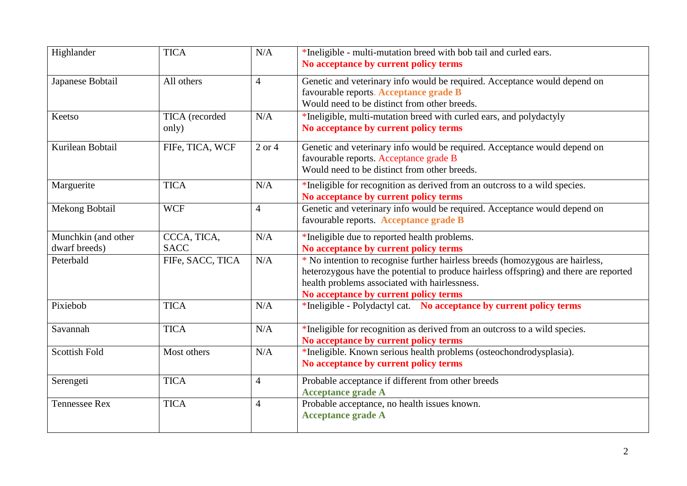| Highlander                           | <b>TICA</b>                | N/A            | *Ineligible - multi-mutation breed with bob tail and curled ears.<br>No acceptance by current policy terms                                                                                                                                                       |  |
|--------------------------------------|----------------------------|----------------|------------------------------------------------------------------------------------------------------------------------------------------------------------------------------------------------------------------------------------------------------------------|--|
| Japanese Bobtail                     | All others                 | $\overline{4}$ | Genetic and veterinary info would be required. Acceptance would depend on<br>favourable reports. Acceptance grade B<br>Would need to be distinct from other breeds.                                                                                              |  |
| Keetso                               | TICA (recorded<br>only)    | N/A            | *Ineligible, multi-mutation breed with curled ears, and polydactyly<br>No acceptance by current policy terms                                                                                                                                                     |  |
| Kurilean Bobtail                     | FIFe, TICA, WCF            | $2$ or $4$     | Genetic and veterinary info would be required. Acceptance would depend on<br>favourable reports. Acceptance grade B<br>Would need to be distinct from other breeds.                                                                                              |  |
| Marguerite                           | <b>TICA</b>                | N/A            | *Ineligible for recognition as derived from an outcross to a wild species.<br>No acceptance by current policy terms                                                                                                                                              |  |
| Mekong Bobtail                       | <b>WCF</b>                 | $\overline{4}$ | Genetic and veterinary info would be required. Acceptance would depend on<br>favourable reports. Acceptance grade B                                                                                                                                              |  |
| Munchkin (and other<br>dwarf breeds) | CCCA, TICA,<br><b>SACC</b> | N/A            | *Ineligible due to reported health problems.<br>No acceptance by current policy terms                                                                                                                                                                            |  |
| Peterbald                            | FIFe, SACC, TICA           | N/A            | * No intention to recognise further hairless breeds (homozygous are hairless,<br>heterozygous have the potential to produce hairless offspring) and there are reported<br>health problems associated with hairlessness.<br>No acceptance by current policy terms |  |
| Pixiebob                             | <b>TICA</b>                | N/A            | *Ineligible - Polydactyl cat. No acceptance by current policy terms                                                                                                                                                                                              |  |
| Savannah                             | <b>TICA</b>                | N/A            | *Ineligible for recognition as derived from an outcross to a wild species.<br>No acceptance by current policy terms                                                                                                                                              |  |
| <b>Scottish Fold</b>                 | Most others                | N/A            | *Ineligible. Known serious health problems (osteochondrodysplasia).<br>No acceptance by current policy terms                                                                                                                                                     |  |
| Serengeti                            | <b>TICA</b>                | $\overline{4}$ | Probable acceptance if different from other breeds<br><b>Acceptance grade A</b>                                                                                                                                                                                  |  |
| <b>Tennessee Rex</b>                 | <b>TICA</b>                | $\overline{4}$ | Probable acceptance, no health issues known.<br><b>Acceptance grade A</b>                                                                                                                                                                                        |  |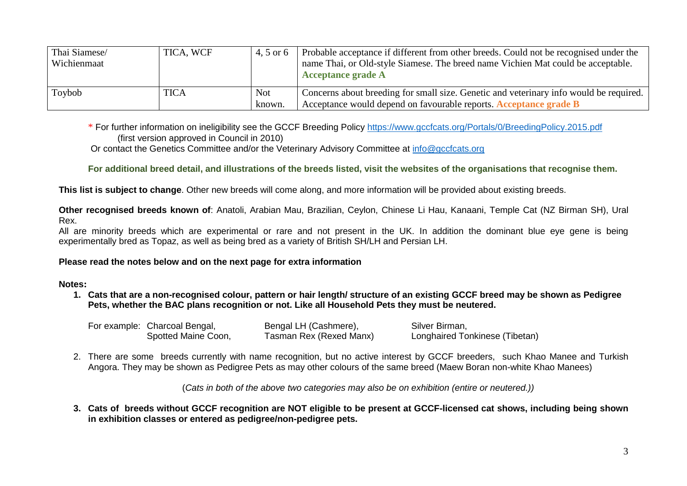| Thai Siamese/<br>Wichienmaat | TICA, WCF   | 4.5 or 6             | Probable acceptance if different from other breeds. Could not be recognised under the<br>name Thai, or Old-style Siamese. The breed name Vichien Mat could be acceptable.<br><b>Acceptance grade A</b> |
|------------------------------|-------------|----------------------|--------------------------------------------------------------------------------------------------------------------------------------------------------------------------------------------------------|
| Toybob                       | <b>TICA</b> | <b>Not</b><br>known. | Concerns about breeding for small size. Genetic and veterinary info would be required.<br>Acceptance would depend on favourable reports. Acceptance grade B                                            |

\* For further information on ineligibility see the GCCF Breeding Policy<https://www.gccfcats.org/Portals/0/BreedingPolicy.2015.pdf> (first version approved in Council in 2010)

Or contact the Genetics Committee and/or the Veterinary Advisory Committee at [info@gccfcats.org](mailto:info@gccfcats.org)

**For additional breed detail, and illustrations of the breeds listed, visit the websites of the organisations that recognise them.**

**This list is subject to change**. Other new breeds will come along, and more information will be provided about existing breeds.

**Other recognised breeds known of**: Anatoli, Arabian Mau, Brazilian, Ceylon, Chinese Li Hau, Kanaani, Temple Cat (NZ Birman SH), Ural Rex.

All are minority breeds which are experimental or rare and not present in the UK. In addition the dominant blue eye gene is being experimentally bred as Topaz, as well as being bred as a variety of British SH/LH and Persian LH.

## **Please read the notes below and on the next page for extra information**

## **Notes:**

**1. Cats that are a non-recognised colour, pattern or hair length/ structure of an existing GCCF breed may be shown as Pedigree Pets, whether the BAC plans recognition or not. Like all Household Pets they must be neutered.**

| For example: Charcoal Bengal, | Bengal LH (Cashmere),   | Silver Birman,                        |
|-------------------------------|-------------------------|---------------------------------------|
| Spotted Maine Coon,           | Tasman Rex (Rexed Manx) | <b>Longhaired Tonkinese (Tibetan)</b> |

2. There are some breeds currently with name recognition, but no active interest by GCCF breeders, such Khao Manee and Turkish Angora. They may be shown as Pedigree Pets as may other colours of the same breed (Maew Boran non-white Khao Manees)

(*Cats in both of the above two categories may also be on exhibition (entire or neutered.))*

**3. Cats of breeds without GCCF recognition are NOT eligible to be present at GCCF-licensed cat shows, including being shown in exhibition classes or entered as pedigree/non-pedigree pets.**